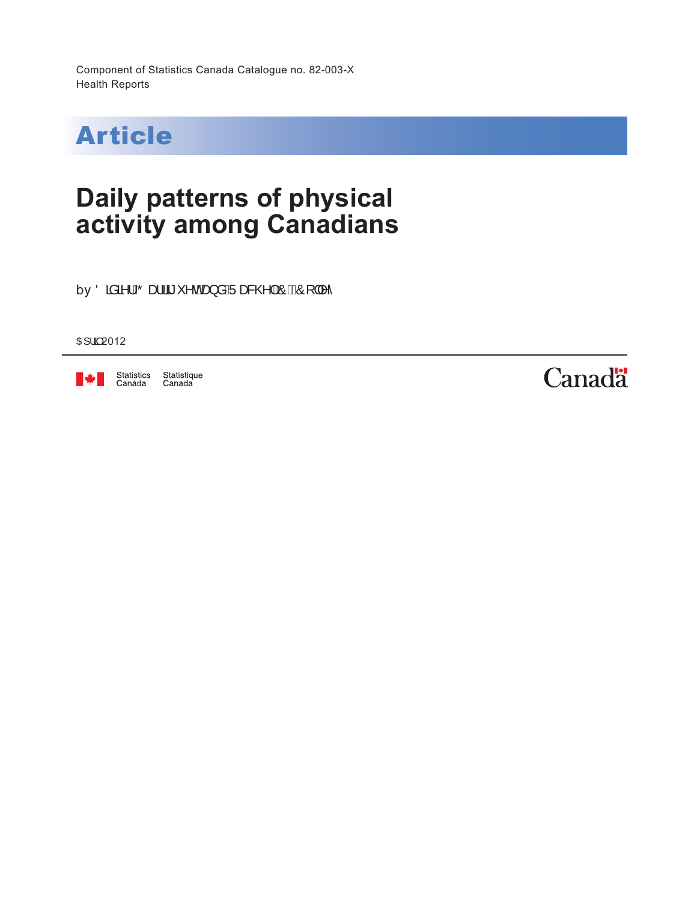Component of Statistics Canada Catalogue no. 82-003-X Health Reports



# **Daily patterns of physical activity among Canadians**

by Öää\lÄä'^de}åÄJæ&@|AÔEÔ[||^^

O<sub>H</sub> | a 2012



Statistics Statistique<br>Canada Canada

**Canadä**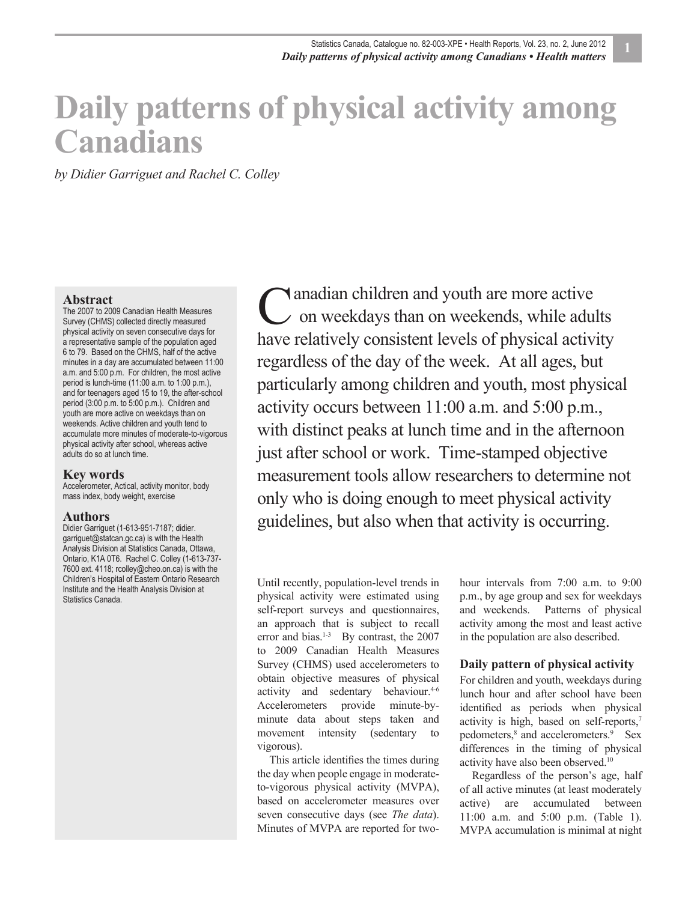# **Daily patterns of physical activity among Canadians**

*by Didier Garriguet and Rachel C. Colley*

#### **Abstract**

The 2007 to 2009 Canadian Health Measures Survey (CHMS) collected directly measured physical activity on seven consecutive days for a representative sample of the population aged 6 to 79. Based on the CHMS, half of the active minutes in a day are accumulated between 11:00 a.m. and 5:00 p.m. For children, the most active period is lunch-time (11:00 a.m. to 1:00 p.m.), and for teenagers aged 15 to 19, the after-school period (3:00 p.m. to 5:00 p.m.). Children and youth are more active on weekdays than on weekends. Active children and youth tend to accumulate more minutes of moderate-to-vigorous physical activity after school, whereas active adults do so at lunch time.

#### **Key words**

Accelerometer, Actical, activity monitor, body mass index, body weight, exercise

#### **Authors**

Didier Garriguet (1-613-951-7187; didier. garriguet@statcan.gc.ca) is with the Health Analysis Division at Statistics Canada, Ottawa, Ontario, K1A 0T6. Rachel C. Colley (1-613-737- 7600 ext. 4118; rcolley@cheo.on.ca) is with the Children's Hospital of Eastern Ontario Research Institute and the Health Analysis Division at Statistics Canada.

anadian children and youth are more active C anadian children and youth are more active<br>
on weekdays than on weekends, while adults have relatively consistent levels of physical activity regardless of the day of the week. At all ages, but particularly among children and youth, most physical activity occurs between 11:00 a.m. and 5:00 p.m., with distinct peaks at lunch time and in the afternoon just after school or work. Time-stamped objective measurement tools allow researchers to determine not only who is doing enough to meet physical activity guidelines, but also when that activity is occurring.

Until recently, population-level trends in physical activity were estimated using self-report surveys and questionnaires, an approach that is subject to recall error and bias.<sup>1-3</sup> By contrast, the 2007 to 2009 Canadian Health Measures Survey (CHMS) used accelerometers to obtain objective measures of physical activity and sedentary behaviour.<sup>4-6</sup> Accelerometers provide minute-byminute data about steps taken and movement intensity (sedentary to vigorous).

This article identifies the times during the day when people engage in moderateto-vigorous physical activity (MVPA), based on accelerometer measures over seven consecutive days (see *The data*). Minutes of MVPA are reported for twohour intervals from 7:00 a.m. to 9:00 p.m., by age group and sex for weekdays and weekends. Patterns of physical activity among the most and least active in the population are also described.

#### **Daily pattern of physical activity**

For children and youth, weekdays during lunch hour and after school have been identified as periods when physical activity is high, based on self-reports,7 pedometers,<sup>8</sup> and accelerometers.<sup>9</sup> Sex differences in the timing of physical activity have also been observed.10

Regardless of the person's age, half of all active minutes (at least moderately active) are accumulated between 11:00 a.m. and 5:00 p.m. (Table 1). MVPA accumulation is minimal at night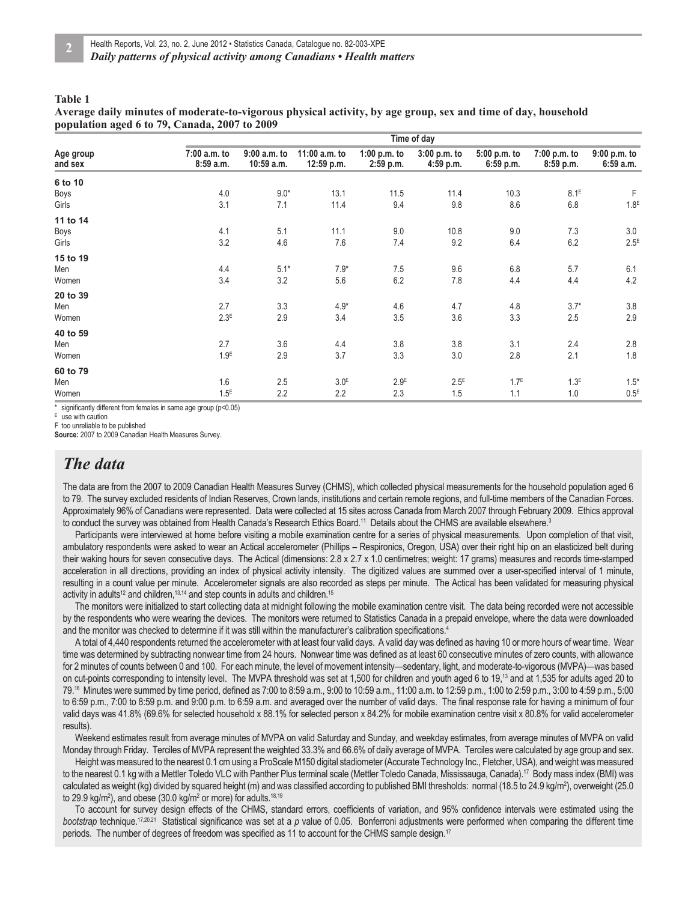#### **Table 1**

**Average daily minutes of moderate-to-vigorous physical activity, by age group, sex and time of day, household population aged 6 to 79, Canada, 2007 to 2009**

| Age group<br>and sex | Time of day              |                                |                               |                               |                             |                               |                               |                            |
|----------------------|--------------------------|--------------------------------|-------------------------------|-------------------------------|-----------------------------|-------------------------------|-------------------------------|----------------------------|
|                      | 7:00 a.m. to<br>8:59a.m. | $9:00$ a.m. to<br>$10:59$ a.m. | 11:00 a.m. to<br>$12:59$ p.m. | $1:00$ p.m. to<br>$2:59$ p.m. | 3:00 p.m. to<br>$4:59$ p.m. | $5:00$ p.m. to<br>$6:59$ p.m. | $7:00$ p.m. to<br>$8:59$ p.m. | $9:00$ p.m. to<br>6:59a.m. |
| 6 to 10              |                          |                                |                               |                               |                             |                               |                               |                            |
| Boys                 | 4.0                      | $9.0*$                         | 13.1                          | 11.5                          | 11.4                        | 10.3                          | 8.1 <sup>E</sup>              | F                          |
| Girls                | 3.1                      | 7.1                            | 11.4                          | 9.4                           | 9.8                         | 8.6                           | 6.8                           | 1.8 <sup>E</sup>           |
| 11 to 14             |                          |                                |                               |                               |                             |                               |                               |                            |
| Boys                 | 4.1                      | 5.1                            | 11.1                          | 9.0                           | 10.8                        | 9.0                           | 7.3                           | 3.0                        |
| Girls                | 3.2                      | 4.6                            | 7.6                           | 7.4                           | 9.2                         | 6.4                           | 6.2                           | $2.5^E$                    |
| 15 to 19             |                          |                                |                               |                               |                             |                               |                               |                            |
| Men                  | 4.4                      | $5.1*$                         | $7.9*$                        | 7.5                           | 9.6                         | 6.8                           | 5.7                           | 6.1                        |
| Women                | 3.4                      | 3.2                            | 5.6                           | 6.2                           | 7.8                         | 4.4                           | 4.4                           | 4.2                        |
| 20 to 39             |                          |                                |                               |                               |                             |                               |                               |                            |
| Men                  | 2.7                      | 3.3                            | $4.9*$                        | 4.6                           | 4.7                         | 4.8                           | $3.7*$                        | 3.8                        |
| Women                | 2.3 <sup>E</sup>         | 2.9                            | 3.4                           | 3.5                           | 3.6                         | 3.3                           | 2.5                           | 2.9                        |
| 40 to 59             |                          |                                |                               |                               |                             |                               |                               |                            |
| Men                  | 2.7                      | 3.6                            | 4.4                           | 3.8                           | 3.8                         | 3.1                           | 2.4                           | $2.8\,$                    |
| Women                | 1.9 <sup>E</sup>         | 2.9                            | 3.7                           | 3.3                           | 3.0                         | 2.8                           | 2.1                           | 1.8                        |
| 60 to 79             |                          |                                |                               |                               |                             |                               |                               |                            |
| Men                  | 1.6                      | 2.5                            | 3.0 <sup>E</sup>              | 2.9 <sup>E</sup>              | $2.5^E$                     | 1.7 <sup>E</sup>              | 1.3 <sup>E</sup>              | $1.5*$                     |
| Women                | 1.5 <sup>E</sup>         | 2.2                            | 2.2                           | 2.3                           | 1.5                         | 1.1                           | 1.0                           | 0.5 <sup>E</sup>           |

significantly different from females in same age group (p<0.05)

E use with caution

F too unreliable to be published **Source:** 2007 to 2009 Canadian Health Measures Survey.

### *The data*

The data are from the 2007 to 2009 Canadian Health Measures Survey (CHMS), which collected physical measurements for the household population aged 6 to 79. The survey excluded residents of Indian Reserves, Crown lands, institutions and certain remote regions, and full-time members of the Canadian Forces. Approximately 96% of Canadians were represented. Data were collected at 15 sites across Canada from March 2007 through February 2009. Ethics approval to conduct the survey was obtained from Health Canada's Research Ethics Board.<sup>11</sup> Details about the CHMS are available elsewhere.<sup>3</sup>

Participants were interviewed at home before visiting a mobile examination centre for a series of physical measurements. Upon completion of that visit, ambulatory respondents were asked to wear an Actical accelerometer (Phillips – Respironics, Oregon, USA) over their right hip on an elasticized belt during their waking hours for seven consecutive days. The Actical (dimensions: 2.8 x 2.7 x 1.0 centimetres; weight: 17 grams) measures and records time-stamped acceleration in all directions, providing an index of physical activity intensity. The digitized values are summed over a user-specified interval of 1 minute, resulting in a count value per minute. Accelerometer signals are also recorded as steps per minute. The Actical has been validated for measuring physical activity in adults<sup>12</sup> and children,<sup>13,14</sup> and step counts in adults and children.<sup>15</sup>

The monitors were initialized to start collecting data at midnight following the mobile examination centre visit. The data being recorded were not accessible by the respondents who were wearing the devices. The monitors were returned to Statistics Canada in a prepaid envelope, where the data were downloaded and the monitor was checked to determine if it was still within the manufacturer's calibration specifications.<sup>4</sup>

A total of 4,440 respondents returned the accelerometer with at least four valid days. A valid day was defined as having 10 or more hours of wear time. Wear time was determined by subtracting nonwear time from 24 hours. Nonwear time was defined as at least 60 consecutive minutes of zero counts, with allowance for 2 minutes of counts between 0 and 100. For each minute, the level of movement intensity—sedentary, light, and moderate-to-vigorous (MVPA)—was based on cut-points corresponding to intensity level. The MVPA threshold was set at 1,500 for children and youth aged 6 to 19,13 and at 1,535 for adults aged 20 to 79.<sup>16</sup> Minutes were summed by time period, defined as 7:00 to 8:59 a.m., 9:00 to 10:59 a.m., 11:00 a.m. to 12:59 p.m., 1:00 to 2:59 p.m., 3:00 to 4:59 p.m., 5:00 to 6:59 p.m., 7:00 to 8:59 p.m. and 9:00 p.m. to 6:59 a.m. and averaged over the number of valid days. The final response rate for having a minimum of four valid days was 41.8% (69.6% for selected household x 88.1% for selected person x 84.2% for mobile examination centre visit x 80.8% for valid accelerometer results).

Weekend estimates result from average minutes of MVPA on valid Saturday and Sunday, and weekday estimates, from average minutes of MVPA on valid Monday through Friday. Terciles of MVPA represent the weighted 33.3% and 66.6% of daily average of MVPA. Terciles were calculated by age group and sex.

Height was measured to the nearest 0.1 cm using a ProScale M150 digital stadiometer (Accurate Technology Inc., Fletcher, USA), and weight was measured to the nearest 0.1 kg with a Mettler Toledo VLC with Panther Plus terminal scale (Mettler Toledo Canada, Mississauga, Canada).<sup>17</sup> Body mass index (BMI) was calculated as weight (kg) divided by squared height (m) and was classified according to published BMI thresholds: normal (18.5 to 24.9 kg/m<sup>2</sup>), overweight (25.0 to 29.9 kg/m<sup>2</sup>), and obese (30.0 kg/m<sup>2</sup> or more) for adults.<sup>18,19</sup>

To account for survey design effects of the CHMS, standard errors, coefficients of variation, and 95% confidence intervals were estimated using the *bootstrap* technique.<sup>17,20,21</sup> Statistical significance was set at a *p* value of 0.05. Bonferroni adjustments were performed when comparing the different time periods. The number of degrees of freedom was specified as 11 to account for the CHMS sample design.<sup>17</sup>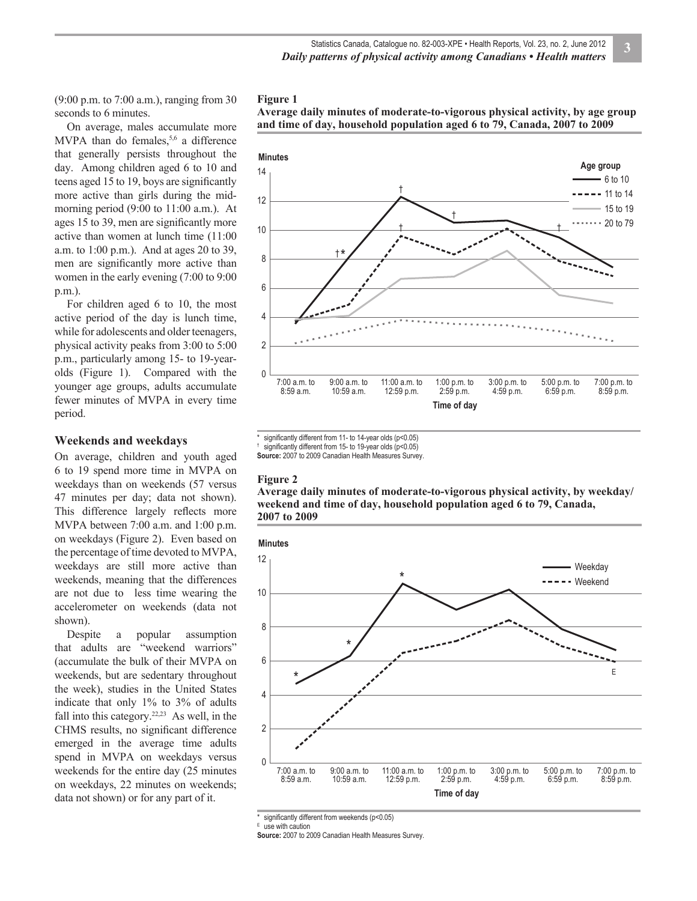(9:00 p.m. to 7:00 a.m.), ranging from 30 seconds to 6 minutes.

On average, males accumulate more MVPA than do females,  $5,6$  a difference that generally persists throughout the day. Among children aged 6 to 10 and teens aged 15 to 19, boys are significantly more active than girls during the midmorning period (9:00 to 11:00 a.m.). At ages 15 to 39, men are significantly more active than women at lunch time (11:00 a.m. to 1:00 p.m.). And at ages 20 to 39, men are significantly more active than women in the early evening (7:00 to 9:00 p.m.).

For children aged 6 to 10, the most active period of the day is lunch time, while for adolescents and older teenagers, physical activity peaks from 3:00 to 5:00 p.m., particularly among 15- to 19-yearolds (Figure 1). Compared with the younger age groups, adults accumulate fewer minutes of MVPA in every time period.

#### **Weekends and weekdays**

On average, children and youth aged 6 to 19 spend more time in MVPA on weekdays than on weekends (57 versus 47 minutes per day; data not shown). This difference largely reflects more MVPA between 7:00 a.m. and 1:00 p.m. on weekdays (Figure 2). Even based on the percentage of time devoted to MVPA, weekdays are still more active than weekends, meaning that the differences are not due to less time wearing the accelerometer on weekends (data not shown).

Despite a popular assumption that adults are "weekend warriors" (accumulate the bulk of their MVPA on weekends, but are sedentary throughout the week), studies in the United States indicate that only 1% to 3% of adults fall into this category. $22,23$  As well, in the CHMS results, no significant difference emerged in the average time adults spend in MVPA on weekdays versus weekends for the entire day (25 minutes on weekdays, 22 minutes on weekends; data not shown) or for any part of it.







significantly different from 11- to 14-year olds (p<0.05)

significantly different from 15- to 19-year olds (p<0.05)

**Source:** 2007 to 2009 Canadian Health Measures Survey.

#### **Figure 2**

†

**Average daily minutes of moderate-to-vigorous physical activity, by weekday/ weekend and time of day, household population aged 6 to 79, Canada, 2007 to 2009**



significantly different from weekends (p<0.05)

E use with caution

**Source:** 2007 to 2009 Canadian Health Measures Survey.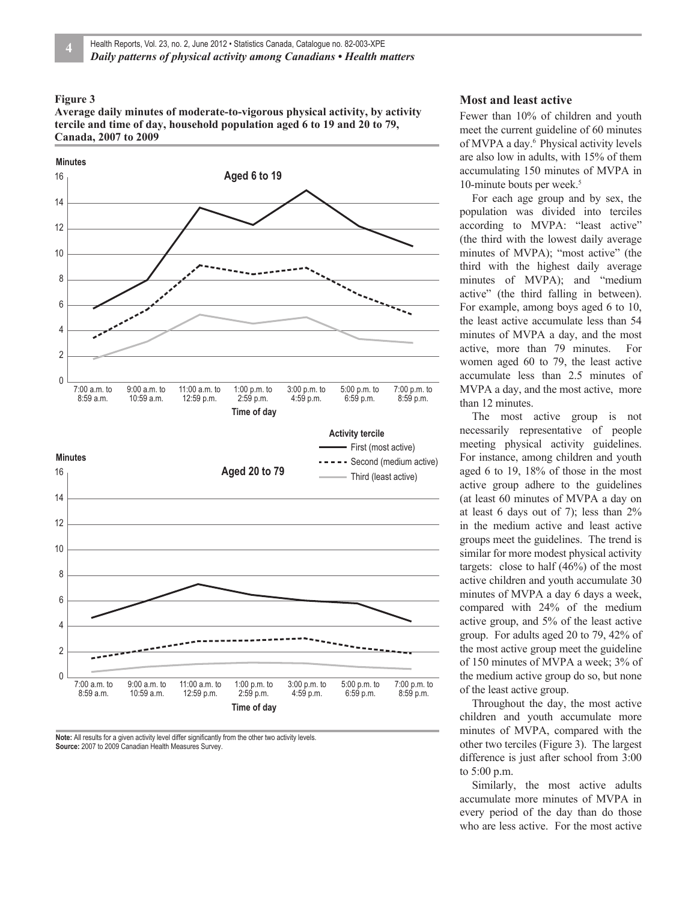#### **Figure 3**

**Average daily minutes of moderate-to-vigorous physical activity, by activity tercile and time of day, household population aged 6 to 19 and 20 to 79, Canada, 2007 to 2009**



Note: All results for a given activity level differ significantly from the other two activity levels. **Source:** 2007 to 2009 Canadian Health Measures Survey.

#### **Most and least active**

Fewer than 10% of children and youth meet the current guideline of 60 minutes of MVPA a day.<sup>6</sup> Physical activity levels are also low in adults, with 15% of them accumulating 150 minutes of MVPA in 10-minute bouts per week.<sup>5</sup>

For each age group and by sex, the population was divided into terciles according to MVPA: "least active" (the third with the lowest daily average minutes of MVPA); "most active" (the third with the highest daily average minutes of MVPA); and "medium active" (the third falling in between). For example, among boys aged 6 to 10, the least active accumulate less than 54 minutes of MVPA a day, and the most active, more than 79 minutes. For women aged 60 to 79, the least active accumulate less than 2.5 minutes of MVPA a day, and the most active, more than 12 minutes.

The most active group is not necessarily representative of people meeting physical activity guidelines. For instance, among children and youth aged 6 to 19, 18% of those in the most active group adhere to the guidelines (at least 60 minutes of MVPA a day on at least 6 days out of 7); less than 2% in the medium active and least active groups meet the guidelines. The trend is similar for more modest physical activity targets: close to half (46%) of the most active children and youth accumulate 30 minutes of MVPA a day 6 days a week, compared with 24% of the medium active group, and 5% of the least active group. For adults aged 20 to 79, 42% of the most active group meet the guideline of 150 minutes of MVPA a week; 3% of the medium active group do so, but none of the least active group.

Throughout the day, the most active children and youth accumulate more minutes of MVPA, compared with the other two terciles (Figure 3). The largest difference is just after school from 3:00 to 5:00 p.m.

Similarly, the most active adults accumulate more minutes of MVPA in every period of the day than do those who are less active. For the most active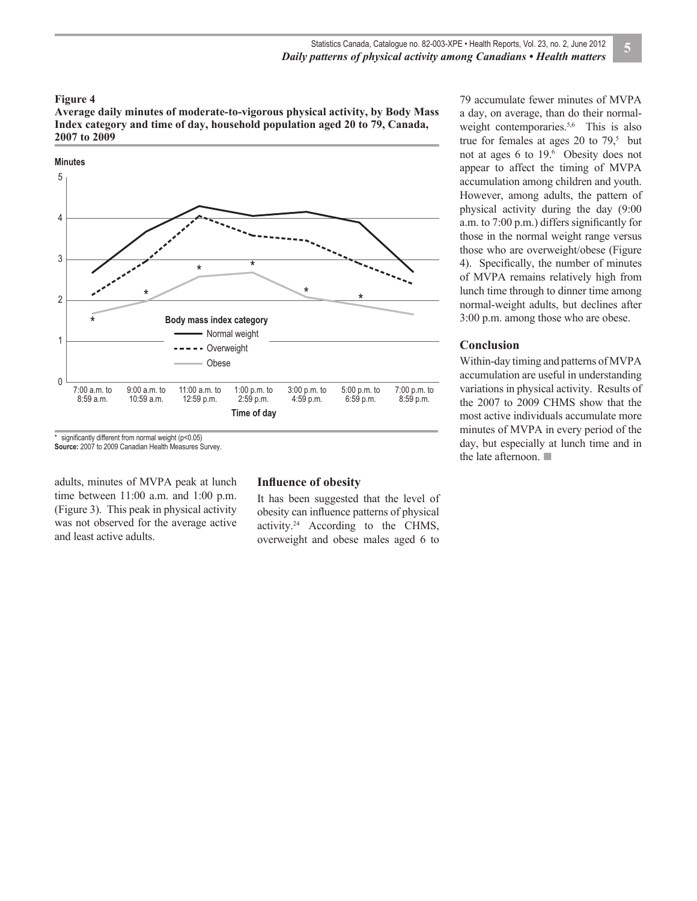#### **Figure 4**

**Average daily minutes of moderate-to-vigorous physical activity, by Body Mass Index category and time of day, household population aged 20 to 79, Canada, 2007 to 2009**



significantly different from normal weight (p<0.05) **Source:** 2007 to 2009 Canadian Health Measures Survey.

adults, minutes of MVPA peak at lunch time between 11:00 a.m. and 1:00 p.m. (Figure 3). This peak in physical activity was not observed for the average active and least active adults.

#### **Influence of obesity**

It has been suggested that the level of obesity can influence patterns of physical activity.24 According to the CHMS, overweight and obese males aged 6 to 79 accumulate fewer minutes of MVPA a day, on average, than do their normalweight contemporaries.<sup>5,6</sup> This is also true for females at ages 20 to  $79<sup>5</sup>$  but not at ages 6 to 19.<sup>6</sup> Obesity does not appear to affect the timing of MVPA accumulation among children and youth. However, among adults, the pattern of physical activity during the day (9:00 a.m. to  $7:00 \text{ p.m.}$ ) differs significantly for those in the normal weight range versus those who are overweight/obese (Figure 4). Specifically, the number of minutes of MVPA remains relatively high from lunch time through to dinner time among normal-weight adults, but declines after 3:00 p.m. among those who are obese.

#### **Conclusion**

Within-day timing and patterns of MVPA accumulation are useful in understanding variations in physical activity. Results of the 2007 to 2009 CHMS show that the most active individuals accumulate more minutes of MVPA in every period of the day, but especially at lunch time and in the late afternoon. ■